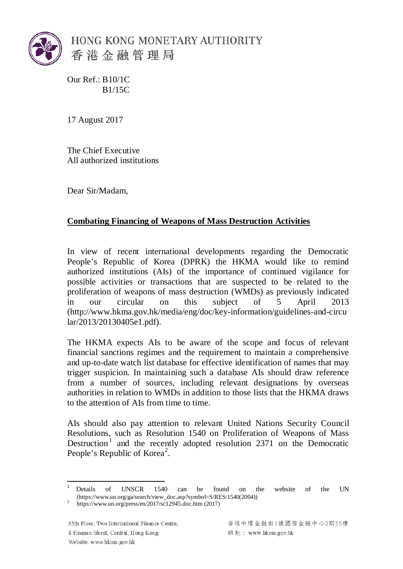

Our Ref.: B10/1C B1/15C

17 August 2017

The Chief Executive All authorized institutions

Dear Sir/Madam,

## **Combating Financing of Weapons of Mass Destruction Activities**

In view of recent international developments regarding the Democratic People's Republic of Korea (DPRK) the HKMA would like to remind authorized institutions (AIs) of the importance of continued vigilance for possible activities or transactions that are suspected to be related to the proliferation of weapons of mass destruction (WMDs) as previously indicated in our circular on this subject of 5 April 2013 (http://www.hkma.gov.hk/media/eng/doc/key-information/guidelines-and-circu lar/2013/20130405e1.pdf).

The HKMA expects AIs to be aware of the scope and focus of relevant financial sanctions regimes and the requirement to maintain a comprehensive and up-to-date watch list database for effective identification of names that may trigger suspicion. In maintaining such a database AIs should draw reference from a number of sources, including relevant designations by overseas authorities in relation to WMDs in addition to those lists that the HKMA draws to the attention of AIs from time to time.

AIs should also pay attention to relevant United Nations Security Council Resolutions, such as Resolution 1540 on Proliferation of Weapons of Mass Destruction<sup>[1](#page-0-0)</sup> and the recently adopted resolution 2371 on the Democratic People's Republic of Korea<sup>[2](#page-0-1)</sup>.

55th Floor, Two International Finance Centre, 8 Finance Street, Central, Hong Kong Website: www.hkma.gov.hk

<span id="page-0-2"></span><span id="page-0-0"></span><sup>&</sup>lt;sup>1</sup> Details of UNSCR 1540 can be found on the website of the UN (https://www.un.org/ga/search/view\_doc.asp?symbol=S/RES/1540(2004)) <sup>2</sup> <https://www.un.org/press/en/2017/sc12945.doc.htm> (2017)

<span id="page-0-1"></span>